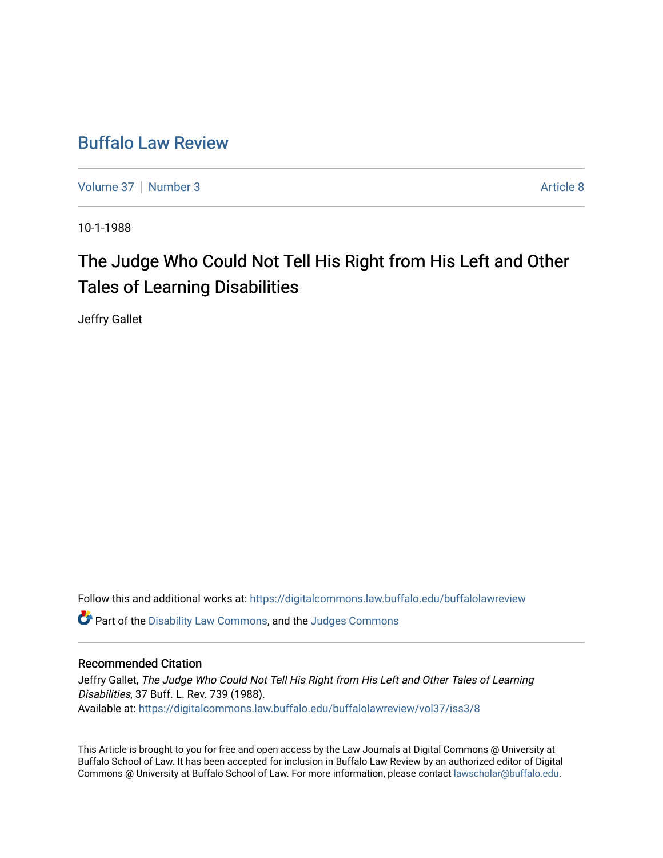## [Buffalo Law Review](https://digitalcommons.law.buffalo.edu/buffalolawreview)

[Volume 37](https://digitalcommons.law.buffalo.edu/buffalolawreview/vol37) | [Number 3](https://digitalcommons.law.buffalo.edu/buffalolawreview/vol37/iss3) Article 8

10-1-1988

# The Judge Who Could Not Tell His Right from His Left and Other Tales of Learning Disabilities

Jeffry Gallet

Follow this and additional works at: [https://digitalcommons.law.buffalo.edu/buffalolawreview](https://digitalcommons.law.buffalo.edu/buffalolawreview?utm_source=digitalcommons.law.buffalo.edu%2Fbuffalolawreview%2Fvol37%2Fiss3%2F8&utm_medium=PDF&utm_campaign=PDFCoverPages) 

Part of the [Disability Law Commons](http://network.bepress.com/hgg/discipline/1074?utm_source=digitalcommons.law.buffalo.edu%2Fbuffalolawreview%2Fvol37%2Fiss3%2F8&utm_medium=PDF&utm_campaign=PDFCoverPages), and the [Judges Commons](http://network.bepress.com/hgg/discipline/849?utm_source=digitalcommons.law.buffalo.edu%2Fbuffalolawreview%2Fvol37%2Fiss3%2F8&utm_medium=PDF&utm_campaign=PDFCoverPages)

#### Recommended Citation

Jeffry Gallet, The Judge Who Could Not Tell His Right from His Left and Other Tales of Learning Disabilities, 37 Buff. L. Rev. 739 (1988). Available at: [https://digitalcommons.law.buffalo.edu/buffalolawreview/vol37/iss3/8](https://digitalcommons.law.buffalo.edu/buffalolawreview/vol37/iss3/8?utm_source=digitalcommons.law.buffalo.edu%2Fbuffalolawreview%2Fvol37%2Fiss3%2F8&utm_medium=PDF&utm_campaign=PDFCoverPages) 

This Article is brought to you for free and open access by the Law Journals at Digital Commons @ University at Buffalo School of Law. It has been accepted for inclusion in Buffalo Law Review by an authorized editor of Digital Commons @ University at Buffalo School of Law. For more information, please contact [lawscholar@buffalo.edu](mailto:lawscholar@buffalo.edu).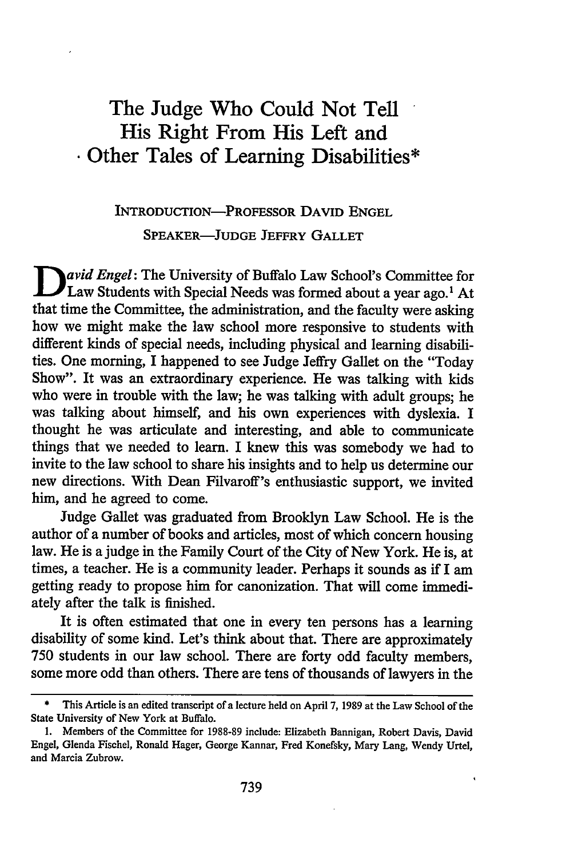## The Judge Who Could Not Tell His Right From His Left and \* Other Tales of Learning Disabilities\*

### **INTRODUCTION-PROFESSOR DAVID ENGEL SPEAKER-JUDGE JEFFRY GALLET**

**D** *avid Engel:* The University of Buffalo Law School's Committee for Law Students with Special Needs was formed about a year ago.<sup>1</sup> At that time the Committee, the administration, and the faculty were asking how we might make the law school more responsive to students with different kinds of special needs, including physical and learning disabilities. One morning, I happened to see Judge Jeffry Gallet on the "Today Show". It was an extraordinary experience. He was talking with kids who were in trouble with the law; he was talking with adult groups; he was talking about himself, and his own experiences with dyslexia. I thought he was articulate and interesting, and able to communicate things that we needed to learn. I knew this was somebody we had to invite to the law school to share his insights and to help us determine our new directions. With Dean Filvaroff's enthusiastic support, we invited him, and he agreed to come.

Judge Gallet was graduated from Brooklyn Law School. He is the author of a number of books and articles, most of which concern housing law. He is a judge in the Family Court of the City of New York. He is, at times, a teacher. He is a community leader. Perhaps it sounds as if I am getting ready to propose him for canonization. That will come immediately after the talk is finished.

It is often estimated that one in every ten persons has a learning disability of some kind. Let's think about that. There are approximately **750** students in our law school. There are forty odd faculty members, some more odd than others. There are tens of thousands of lawyers in the

**<sup>\*</sup>** This Article is an edited transcript of a lecture held on April **7, 1989** at the Law School of the State University of New York at Buffalo.

<sup>1.</sup> Members of the Committee for 1988-89 include: Elizabeth Bannigan, Robert Davis, David Engel, Glenda Fischel, Ronald Hager, George Kannar, Fred Konefsky, Mary Lang, Wendy Urtel, and Marcia Zubrow.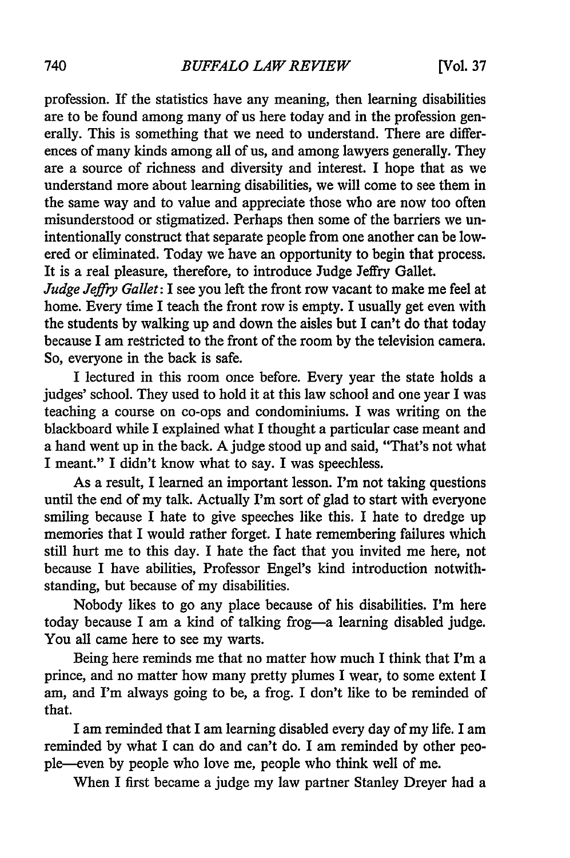profession. If the statistics have any meaning, then learning disabilities are to be found among many of us here today and in the profession generally. This is something that we need to understand. There are differences of many kinds among all of us, and among lawyers generally. They are a source of richness and diversity and interest. I hope that as we understand more about learning disabilities, we will come to see them in the same way and to value and appreciate those who are now too often misunderstood or stigmatized. Perhaps then some of the barriers we unintentionally construct that separate people from one another can be lowered or eliminated. Today we have an opportunity to begin that process. It is a real pleasure, therefore, to introduce Judge Jeffry Gallet.

*Judge Jeffry Gallet: I* see you left the front row vacant to make me feel at home. Every time I teach the front row is empty. I usually get even with the students by walking up and down the aisles but I can't do that today because I am restricted to the front of the room by the television camera. So, everyone in the back is safe.

I lectured in this room once before. Every year the state holds a judges' school. They used to hold it at this law school and one year I was teaching a course on co-ops and condominiums. I was writing on the blackboard while I explained what I thought a particular case meant and a hand went up in the back. A judge stood up and said, "That's not what I meant." I didn't know what to say. I was speechless.

As a result, I learned an important lesson. I'm not taking questions until the end of my talk. Actually I'm sort of glad to start with everyone smiling because I hate to give speeches like this. I hate to dredge up memories that I would rather forget. I hate remembering failures which still hurt me to this day. I hate the fact that you invited me here, not because I have abilities, Professor Engel's kind introduction notwithstanding, but because of my disabilities.

Nobody likes to go any place because of his disabilities. I'm here today because I am a kind of talking frog-a learning disabled judge. You all came here to see my warts.

Being here reminds me that no matter how much I think that I'm a prince, and no matter how many pretty plumes I wear, to some extent I am, and I'm always going to be, a frog. I don't like to be reminded of that.

I am reminded that I am learning disabled every day of my life. I am reminded by what I can do and can't do. I am reminded by other people-even by people who love me, people who think well of me.

When I first became a judge my law partner Stanley Dreyer had a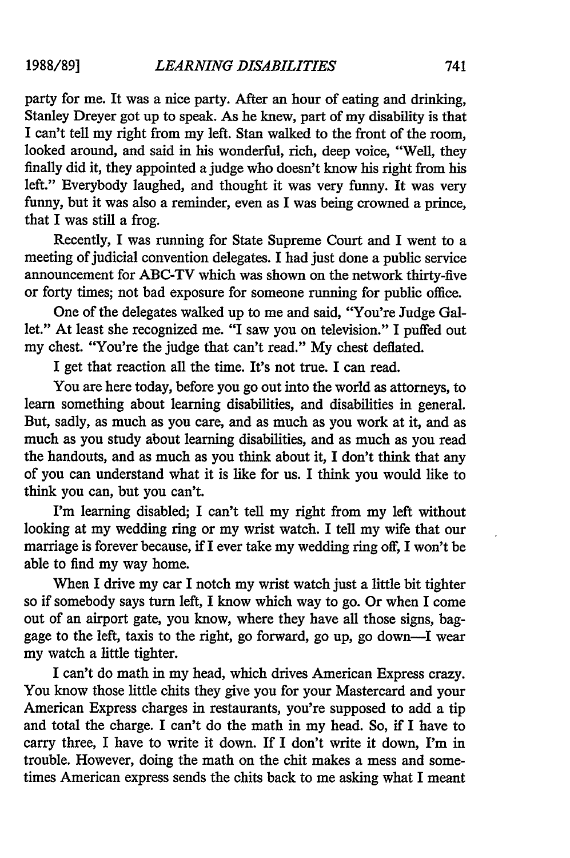party for me. It was a nice party. After an hour of eating and drinking, Stanley Dreyer got up to speak. As he knew, part of my disability is that I can't tell my right from my left. Stan walked to the front of the room, looked around, and said in his wonderful, rich, deep voice, "Well, they finally did it, they appointed a judge who doesn't know his right from his left." Everybody laughed, and thought it was very funny. It was very funny, but it was also a reminder, even as I was being crowned a prince, that I was still a frog.

Recently, I was running for State Supreme Court and I went to a meeting of judicial convention delegates. I had just done a public service announcement for ABC-TV which was shown on the network thirty-five or forty times; not bad exposure for someone running for public office.

One of the delegates walked up to me and said, "You're Judge Gallet." At least she recognized me. "I saw you on television." I puffed out my chest. "You're the judge that can't read." My chest deflated.

I get that reaction all the time. It's not true. I can read.

You are here today, before you go out into the world as attorneys, to learn something about learning disabilities, and disabilities in general. But, sadly, as much as you care, and as much as you work at it, and as much as you study about learning disabilities, and as much as you read the handouts, and as much as you think about it, I don't think that any of you can understand what it is like for us. I think you would like to think you can, but you can't.

I'm learning disabled; I can't tell my right from my left without looking at my wedding ring or my wrist watch. I tell my wife that our marriage is forever because, if I ever take my wedding ring off, I won't be able to find my way home.

When I drive my car I notch my wrist watch just a little bit tighter so if somebody says turn left, I know which way to go. Or when I come out of an airport gate, you know, where they have all those signs, baggage to the left, taxis to the right, go forward, go up, go down-I wear my watch a little tighter.

I can't do math in my head, which drives American Express crazy. You know those little chits they give you for your Mastercard and your American Express charges in restaurants, you're supposed to add a tip and total the charge. I can't do the math in my head. So, if I have to carry three, I have to write it down. If I don't write it down, I'm in trouble. However, doing the math on the chit makes a mess and sometimes American express sends the chits back to me asking what I meant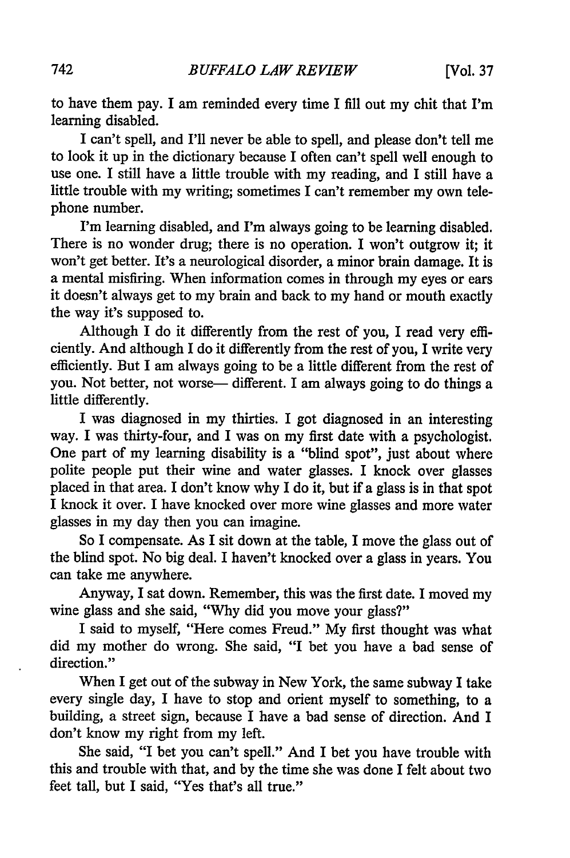to have them pay. I am reminded every time I fill out my chit that I'm learning disabled.

I can't spell, and I'll never be able to spell, and please don't tell me to look it up in the dictionary because I often can't spell well enough to use one. I still have a little trouble with my reading, and I still have a little trouble with my writing; sometimes I can't remember my own telephone number.

I'm learning disabled, and I'm always going to be learning disabled. There is no wonder drug; there is no operation. I won't outgrow it; it won't get better. It's a neurological disorder, a minor brain damage. It is a mental misfiring. When information comes in through my eyes or ears it doesn't always get to my brain and back to my hand or mouth exactly the way it's supposed to.

Although I do it differently from the rest of you, I read very efficiently. And although I do it differently from the rest of you, I write very efficiently. But I am always going to be a little different from the rest of you. Not better, not worse— different. I am always going to do things a little differently.

I was diagnosed in my thirties. I got diagnosed in an interesting way. I was thirty-four, and I was on my first date with a psychologist. One part of my learning disability is a "blind spot", just about where polite people put their wine and water glasses. I knock over glasses placed in that area. I don't know why I do it, but if a glass is in that spot I knock it over. I have knocked over more wine glasses and more water glasses in my day then you can imagine.

So I compensate. As I sit down at the table, I move the glass out of the blind spot. No big deal. I haven't knocked over a glass in years. You can take me anywhere.

Anyway, I sat down. Remember, this was the first date. I moved my wine glass and she said, "Why did you move your glass?"

I said to myself, "Here comes Freud." My first thought was what did my mother do wrong. She said, "I bet you have a bad sense of direction."

When I get out of the subway in New York, the same subway I take every single day, I have to stop and orient myself to something, to a building, a street sign, because I have a bad sense of direction. And I don't know my right from my left.

She said, "I bet you can't spell." And I bet you have trouble with this and trouble with that, and by the time she was done I felt about two feet tall, but I said, "Yes that's all true."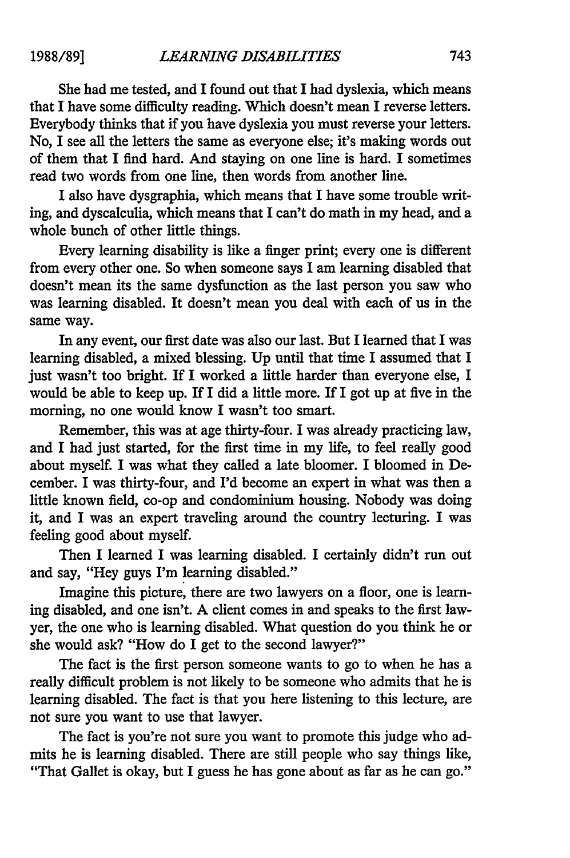She had me tested, and I found out that I had dyslexia, which means that I have some difficulty reading. Which doesn't mean I reverse letters. Everybody thinks that if you have dyslexia you must reverse your letters. No, I see all the letters the same as everyone else; it's making words out of them that I find hard. And staying on one line is hard. I sometimes read two words from one line, then words from another line.

I also have dysgraphia, which means that I have some trouble writing, and dyscalculia, which means that I can't do math in my head, and a whole bunch of other little things.

Every learning disability is like a finger print; every one is different from every other one. So when someone says I am learning disabled that doesn't mean its the same dysfunction as the last person you saw who was learning disabled. It doesn't mean you deal with each of us in the same way.

In any event, our first date was also our last. But I learned that I was learning disabled, a mixed blessing. Up until that time I assumed that I just wasn't too bright. If I worked a little harder than everyone else, I would be able to keep up. If I did a little more. If I got up at five in the morning, no one would know I wasn't too smart.

Remember, this was at age thirty-four. I was already practicing law, and I had just started, for the first time in my life, to feel really good about myself. I was what they called a late bloomer. I bloomed in December. I was thirty-four, and I'd become an expert in what was then a little known field, co-op and condominium housing. Nobody was doing it, and I was an expert traveling around the country lecturing. I was feeling good about myself.

Then I learned I was learning disabled. I certainly didn't run out and say, "Hey guys I'm learning disabled."

Imagine this picture, there are two lawyers on a floor, one is learning disabled, and one isn't. A client comes in and speaks to the first lawyer, the one who is learning disabled. What question do you think he or she would ask? "How do I get to the second lawyer?"

The fact is the first person someone wants to go to when he has a really difficult problem is not likely to be someone who admits that he is learning disabled. The fact is that you here listening to this lecture, are not sure you want to use that lawyer.

The fact is you're not sure you want to promote this judge who admits he is learning disabled. There are still people who say things like, "That Gallet is okay, but I guess he has gone about as far as he can go."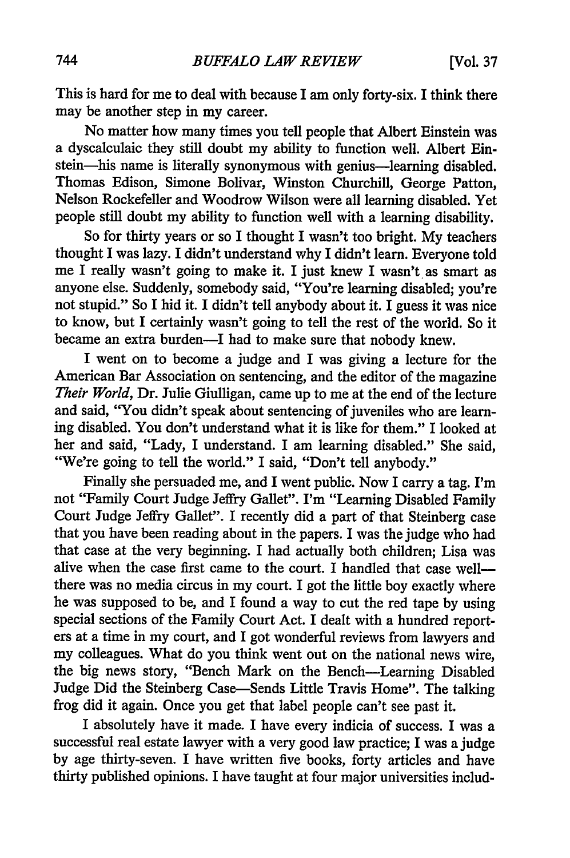This is hard for me to deal with because I am only forty-six. I think there may be another step in my career.

No matter how many times you tell people that Albert Einstein was a dyscalculaic they still doubt my ability to function well. Albert Einstein-his name is literally synonymous with genius-learning disabled. Thomas Edison, Simone Bolivar, Winston Churchill, George Patton, Nelson Rockefeller and Woodrow Wilson were all learning disabled. Yet people still doubt my ability to function well with a learning disability.

So for thirty years or so I thought I wasn't too bright. My teachers thought I was lazy. I didn't understand why I didn't learn. Everyone told me I really wasn't going to make it. I just knew I wasn't as smart as anyone else. Suddenly, somebody said, "You're learning disabled; you're not stupid." So I hid it. I didn't tell anybody about it. I guess it was nice to know, but I certainly wasn't going to tell the rest of the world. So it became an extra burden-I had to make sure that nobody knew.

I went on to become a judge and I was giving a lecture for the American Bar Association on sentencing, and the editor of the magazine *Their World,* Dr. Julie Giulligan, came up to me at the end of the lecture and said, "You didn't speak about sentencing of juveniles who are learning disabled. You don't understand what it is like for them." I looked at her and said, "Lady, I understand. I am learning disabled." She said, "We're going to tell the world." I said, "Don't tell anybody."

Finally she persuaded me, and I went public. Now I carry a tag. I'm not "Family Court Judge Jeffry Gallet". I'm "Learning Disabled Family Court Judge Jeffry Gallet". I recently did a part of that Steinberg case that you have been reading about in the papers. I was the judge who had that case at the very beginning. I had actually both children; Lisa was alive when the case first came to the court. I handled that case wellthere was no media circus in my court. I got the little boy exactly where he was supposed to be, and I found a way to cut the red tape by using special sections of the Family Court Act. I dealt with a hundred reporters at a time in my court, and I got wonderful reviews from lawyers and my colleagues. What do you think went out on the national news wire, the big news story, "Bench Mark on the Bench-Learning Disabled Judge Did the Steinberg Case-Sends Little Travis Home". The talking frog did it again. Once you get that label people can't see past it.

I absolutely have it made. I have every indicia of success. I was a successful real estate lawyer with a very good law practice; I was a judge by age thirty-seven. I have written five books, forty articles and have thirty published opinions. I have taught at four major universities includ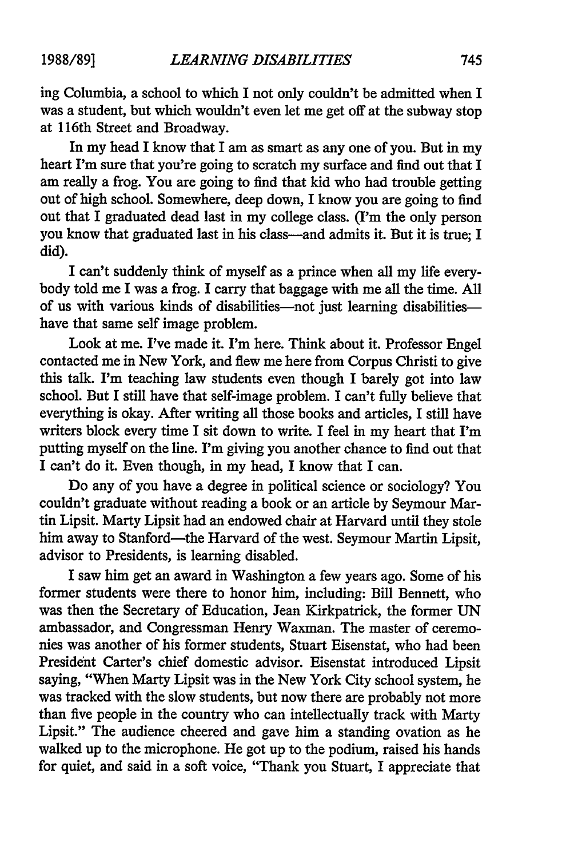ing Columbia, a school to which I not only couldn't be admitted when I was a student, but which wouldn't even let me get off at the subway stop at 116th Street and Broadway.

In my head I know that I am as smart as any one of you. But in my heart I'm sure that you're going to scratch my surface and find out that I am really a frog. You are going to find that kid who had trouble getting out of high school. Somewhere, deep down, I know you are going to find out that I graduated dead last in my college class. (I'm the only person you know that graduated last in his class-and admits it. But it is true; I did).

I can't suddenly think of myself as a prince when all my life everybody told me I was a frog. I carry that baggage with me all the time. All of us with various kinds of disabilities-not just learning disabilitieshave that same self image problem.

Look at me. I've made it. I'm here. Think about it. Professor Engel contacted me in New York, and flew me here from Corpus Christi to give this talk. I'm teaching law students even though I barely got into law school. But I still have that self-image problem. I can't fully believe that everything is okay. After writing all those books and articles, I still have writers block every time I sit down to write. I feel in my heart that I'm putting myself on the line. I'm giving you another chance to find out that I can't do it. Even though, in my head, I know that I can.

Do any of you have a degree in political science or sociology? You couldn't graduate without reading a book or an article by Seymour Martin Lipsit. Marty Lipsit had an endowed chair at Harvard until they stole him away to Stanford-the Harvard of the west. Seymour Martin Lipsit, advisor to Presidents, is learning disabled.

I saw him get an award in Washington a few years ago. Some of his former students were there to honor him, including: Bill Bennett, who was then the Secretary of Education, Jean Kirkpatrick, the former UN ambassador, and Congressman Henry Waxman. The master of ceremonies was another of his former students, Stuart Eisenstat, who had been President Carter's chief domestic advisor. Eisenstat introduced Lipsit saying, "When Marty Lipsit was in the New York City school system, he was tracked with the slow students, but now there are probably not more than five people in the country who can intellectually track with Marty Lipsit." The audience cheered and gave him a standing ovation as he walked up to the microphone. He got up to the podium, raised his hands for quiet, and said in a soft voice, "Thank you Stuart, I appreciate that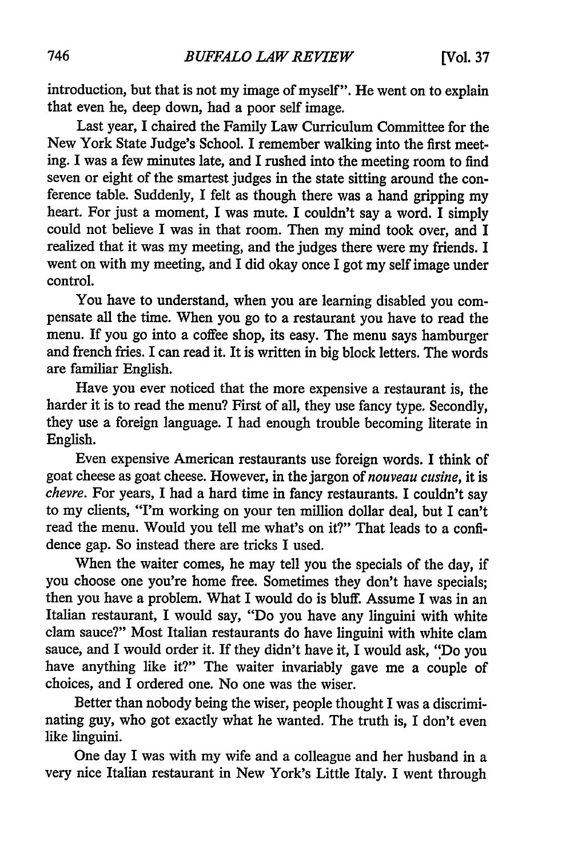introduction, but that is not my image of myself". He went on to explain that even he, deep down, had a poor self image.

Last year, I chaired the Family Law Curriculum Committee for the New York State Judge's School. I remember walking into the first meeting. I was a few minutes late, and I rushed into the meeting room to find seven or eight of the smartest judges in the state sitting around the conference table. Suddenly, I felt as though there was a hand gripping my heart. For just a moment, I was mute. I couldn't say a word. I simply could not believe I was in that room. Then my mind took over, and I realized that it was my meeting, and the judges there were my friends. I went on with my meeting, and I did okay once I got my self image under control.

You have to understand, when you are learning disabled you compensate all the time. When you go to a restaurant you have to read the menu. If you go into a coffee shop, its easy. The menu says hamburger and french fries. I can read it. It is written in big block letters. The words are familiar English.

Have you ever noticed that the more expensive a restaurant is, the harder it is to read the menu? First of all, they use fancy type. Secondly, they use a foreign language. I had enough trouble becoming literate in English.

Even expensive American restaurants use foreign words. I think of goat cheese as goat cheese. However, in the jargon of *nouveau cusine,* it is *chevre.* For years, I had a hard time in fancy restaurants. I couldn't say to my clients, "I'm working on your ten million dollar deal, but I can't read the menu. Would you tell me what's on it?" That leads to a confidence gap. So instead there are tricks I used.

When the waiter comes, he may tell you the specials of the day, if you choose one you're home free. Sometimes they don't have specials; then you have a problem. What I would do is bluff. Assume I was in an Italian restaurant, I would say, "Do you have any linguini with white clam sauce?" Most Italian restaurants do have linguini with white clam sauce, and I would order it. If they didn't have it, I would ask, "Do you have anything like it?" The waiter invariably gave me a couple of choices, and I ordered one. No one was the wiser.

Better than nobody being the wiser, people thought I was a discriminating guy, who got exactly what he wanted. The truth is, I don't even like linguini.

One day I was with my wife and a colleague and her husband in a very nice Italian restaurant in New York's Little Italy. I went through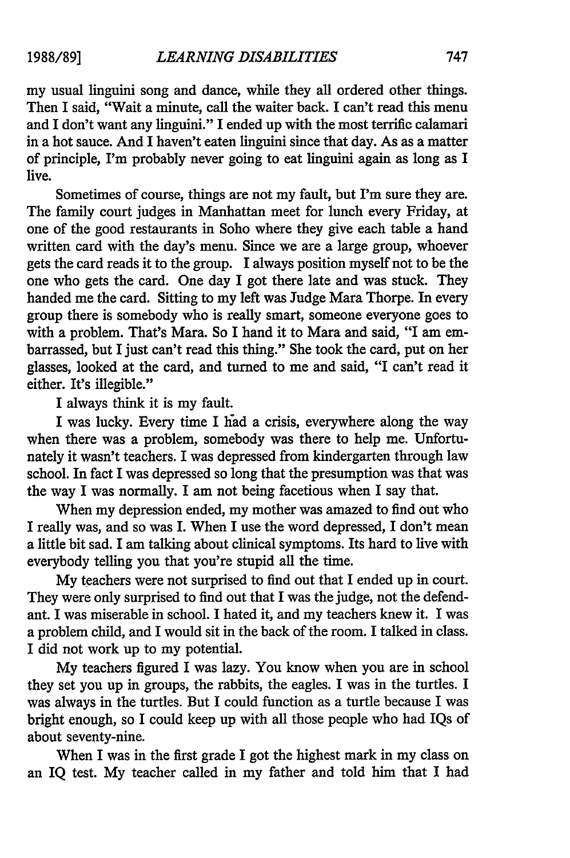my usual linguini song and dance, while they all ordered other things. Then I said, "Wait a minute, call the waiter back. I can't read this menu and I don't want any linguini." I ended up with the most terrific calamari in a hot sauce. And I haven't eaten linguini since that day. As as a matter of principle, I'm probably never going to eat linguini again as long as I live.

Sometimes of course, things are not my fault, but I'm sure they are. The family court judges in Manhattan meet for lunch every Friday, at one of the good restaurants in Soho where they give each table a hand written card with the day's menu. Since we are a large group, whoever gets the card reads it to the group. I always position myself not to be the one who gets the card. One day I got there late and was stuck. They handed me the card. Sitting to my left was Judge Mara Thorpe. In every group there is somebody who is really smart, someone everyone goes to with a problem. That's Mara. So I hand it to Mara and said, "I am embarrassed, but I just can't read this thing." She took the card, put on her glasses, looked at the card, and turned to me and said, "I can't read it either. It's illegible."

I always think it is my fault.

I was lucky. Every time I had a crisis, everywhere along the way when there was a problem, somebody was there to help me. Unfortunately it wasn't teachers. I was depressed from kindergarten through law school. In fact I was depressed so long that the presumption was that was the way I was normally. I am not being facetious when I say that.

When my depression ended, my mother was amazed to find out who I really was, and so was I. When I use the word depressed, I don't mean a little bit sad. I am talking about clinical symptoms. Its hard to live with everybody telling you that you're stupid all the time.

My teachers were not surprised to find out that I ended up in court. They were only surprised to find out that I was the judge, not the defendant. I was miserable in school. I hated it, and my teachers knew it. I was a problem child, and I would sit in the back of the room. I talked in class. I did not work up to my potential.

My teachers figured I was lazy. You know when you are in school they set you up in groups, the rabbits, the eagles. I was in the turtles. I was always in the turtles. But I could function as a turtle because I was bright enough, so I could keep up with all those people who had IQs of about seventy-nine.

When I was in the first grade I got the highest mark in my class on an IQ test. My teacher called in my father and told him that I had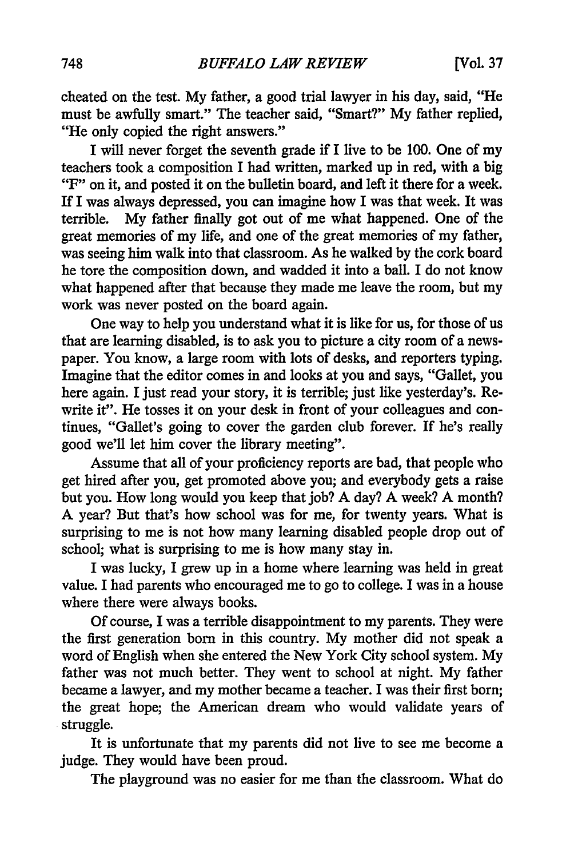cheated on the test. **My** father, a good trial lawyer in his day, said, "He must be awfully smart." The teacher said, "Smart?" My father replied, "He only copied the right answers."

I will never forget the seventh grade if I live to be **100.** One of my teachers took a composition I had written, marked up in red, with a big "F" on it, and posted it on the bulletin board, and left it there for a week. If I was always depressed, you can imagine how I was that week. It was terrible. My father finally got out of me what happened. One of the great memories of my life, and one of the great memories of my father, was seeing him walk into that classroom. As he walked by the cork board he tore the composition down, and wadded it into a ball. I do not know what happened after that because they made me leave the room, but my work was never posted on the board again.

One way to help you understand what it is like for us, for those of us that are learning disabled, is to ask you to picture a city room of a newspaper. You know, a large room with lots of desks, and reporters typing. Imagine that the editor comes in and looks at you and says, "Gallet, you here again. I just read your story, it is terrible; just like yesterday's. Rewrite it". He tosses it on your desk in front of your colleagues and continues, "Gallet's going to cover the garden club forever. If he's really good we'll let him cover the library meeting".

Assume that all of your proficiency reports are bad, that people who get hired after you, get promoted above you; and everybody gets a raise but you. How long would you keep that job? A day? A week? A month? A year? But that's how school was for me, for twenty years. What is surprising to me is not how many learning disabled people drop out of school; what is surprising to me is how many stay in.

I was lucky, I grew up in a home where learning was held in great value. I had parents who encouraged me to go to college. I was in a house where there were always books.

Of course, I was a terrible disappointment to my parents. They were the first generation born in this country. My mother did not speak a word of English when she entered the New York City school system. My father was not much better. They went to school at night. My father became a lawyer, and my mother became a teacher. I was their first born; the great hope; the American dream who would validate years of struggle.

It is unfortunate that my parents did not live to see me become a judge. They would have been proud.

The playground was no easier for me than the classroom. What do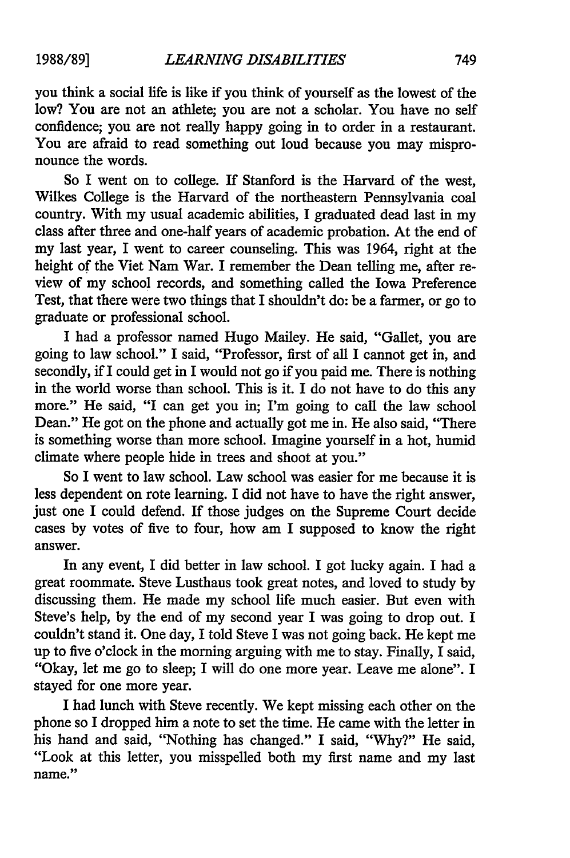you think a social life is like if you think of yourself as the lowest of the low? You are not an athlete; you are not a scholar. You have no self confidence; you are not really happy going in to order in a restaurant. You are afraid to read something out loud because you may mispronounce the words.

So I went on to college. If Stanford is the Harvard of the west, Wilkes College is the Harvard of the northeastern Pennsylvania coal country. With my usual academic abilities, I graduated dead last in my class after three and one-half years of academic probation. At the end of my last year, I went to career counseling. This was 1964, right at the height of the Viet Nam War. I remember the Dean telling me, after review of my school records, and something called the Iowa Preference Test, that there were two things that I shouldn't do: be a farmer, or go to graduate or professional school.

I had a professor named Hugo Mailey. He said, "Gallet, you are going to law school." I said, "Professor, first of all I cannot get in, and secondly, if I could get in I would not go if you paid me. There is nothing in the world worse than school. This is it. I do not have to do this any more." He said, "I can get you in; I'm going to call the law school Dean." He got on the phone and actually got me in. He also said, "There is something worse than more school. Imagine yourself in a hot, humid climate where people hide in trees and shoot at you."

So I went to law school. Law school was easier for me because it is less dependent on rote learning. I did not have to have the right answer, just one I could defend. If those judges on the Supreme Court decide cases by votes of five to four, how am I supposed to know the right answer.

In any event, I did better in law school. I got lucky again. I had a great roommate. Steve Lusthaus took great notes, and loved to study by discussing them. He made my school life much easier. But even with Steve's help, by the end of my second year I was going to drop out. I couldn't stand it. One day, I told Steve I was not going back. He kept me up to five o'clock in the morning arguing with me to stay. Finally, I said, "Okay, let me go to sleep; I will do one more year. Leave me alone". I stayed for one more year.

I had lunch with Steve recently. We kept missing each other on the phone so I dropped him a note to set the time. He came with the letter in his hand and said, "Nothing has changed." I said, "Why?" He said, "Look at this letter, you misspelled both my first name and my last name."